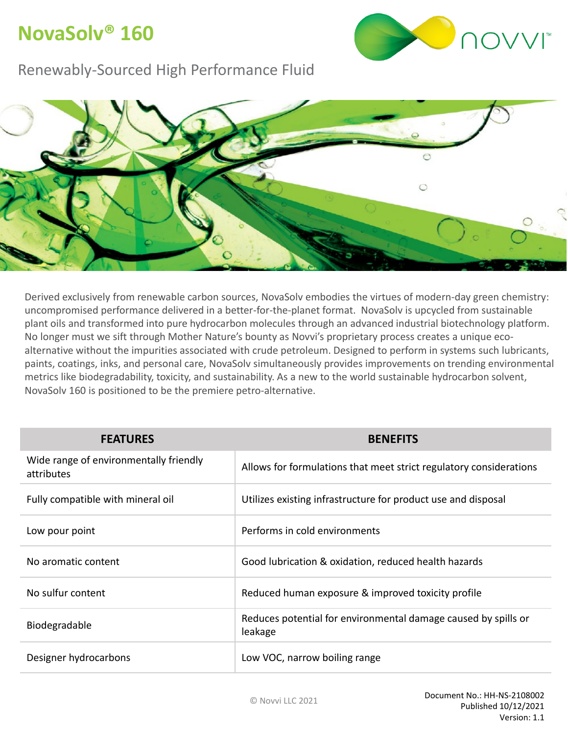## **NovaSolv® 160**



#### Renewably-Sourced High Performance Fluid



Derived exclusively from renewable carbon sources, NovaSolv embodies the virtues of modern-day green chemistry: uncompromised performance delivered in a better-for-the-planet format. NovaSolv is upcycled from sustainable plant oils and transformed into pure hydrocarbon molecules through an advanced industrial biotechnology platform. No longer must we sift through Mother Nature's bounty as Novvi's proprietary process creates a unique ecoalternative without the impurities associated with crude petroleum. Designed to perform in systems such lubricants, paints, coatings, inks, and personal care, NovaSolv simultaneously provides improvements on trending environmental metrics like biodegradability, toxicity, and sustainability. As a new to the world sustainable hydrocarbon solvent, NovaSolv 160 is positioned to be the premiere petro-alternative.

| <b>FEATURES</b>                                      | <b>BENEFITS</b>                                                           |  |
|------------------------------------------------------|---------------------------------------------------------------------------|--|
| Wide range of environmentally friendly<br>attributes | Allows for formulations that meet strict regulatory considerations        |  |
| Fully compatible with mineral oil                    | Utilizes existing infrastructure for product use and disposal             |  |
| Low pour point                                       | Performs in cold environments                                             |  |
| No aromatic content                                  | Good lubrication & oxidation, reduced health hazards                      |  |
| No sulfur content                                    | Reduced human exposure & improved toxicity profile                        |  |
| Biodegradable                                        | Reduces potential for environmental damage caused by spills or<br>leakage |  |
| Designer hydrocarbons                                | Low VOC, narrow boiling range                                             |  |